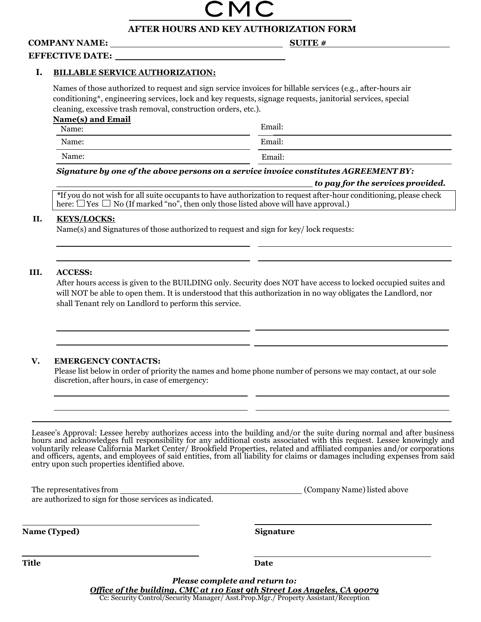### **AFTER HOURS AND KEY AUTHORIZATION FORM**

## **COMPANY NAME:**

**SUITE #**

#### **EFFECTIVE DATE:**

#### **I. BILLABLE SERVICE AUTHORIZATION:**

Names of those authorized to request and sign service invoices for billable services (e.g., after-hours air conditioning\*, engineering services, lock and key requests, signage requests, janitorial services, special cleaning, excessive trash removal, construction orders, etc.).

| Name(s) and Email<br>Name: | Email: |
|----------------------------|--------|
| Name:                      | Email: |
| Name:                      | Email: |

#### *Signature by one of the above persons on a service invoice constitutes AGREEMENT BY:*

here:  $\Box$  Yes  $\Box$  No (If marked "no", then only those listed above will have approval.)  *to pay for the services provided. \**If you do not wish for all suite occupants to have authorization to request after-hour conditioning, please check

#### **II. KEYS/LOCKS:**

Name(s) and Signatures of those authorized to request and sign for key/ lock requests:

#### **III. ACCESS:**

After hours access is given to the BUILDING only. Security does NOT have access to locked occupied suites and will NOT be able to open them. It is understood that this authorization in no way obligates the Landlord, nor shall Tenant rely on Landlord to perform this service.

#### **V. EMERGENCY CONTACTS:**

Please list below in order of priority the names and home phone number of persons we may contact, at our sole discretion, after hours, in case of emergency:

Leasee's Approval: Lessee hereby authorizes access into the building and/or the suite during normal and after business hours and acknowledges full responsibility for any additional costs associated with this request. Lessee knowingly and voluntarily release California Market Center/ Brookfield Properties, related and affiliated companies and/or corporations and officers, agents, and employees of said entities, from all liability for claims or damages including expenses from said entry upon such properties identified above.

| The representatives from                                | (Company Name) listed above |
|---------------------------------------------------------|-----------------------------|
| are authorized to sign for those services as indicated. |                             |

**Name (Typed)** Signature

**Title** Date

*Please complete and return to: Office of the building, CMC at 110 East 9th Street Los Angeles, CA 90079* Cc: Security Control/Security Manager/ Asst.Prop.Mgr./ Property Assistant/Reception